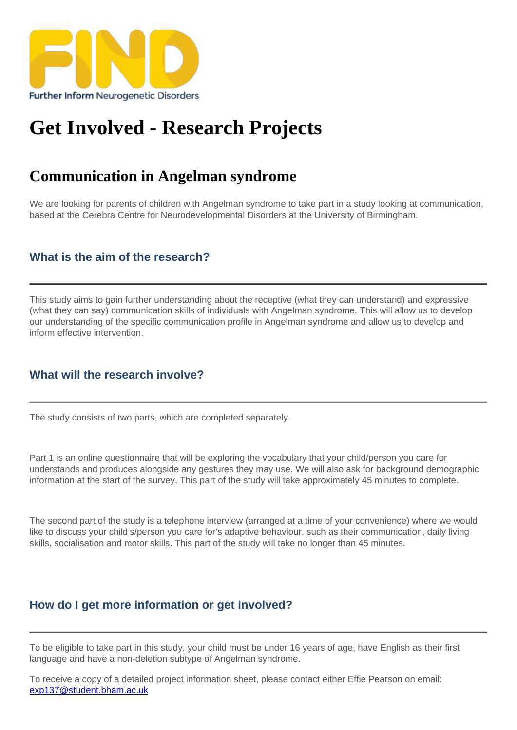# [Get Involved - Res](https://findresources.co.uk)earch Projects

# Communication in Angelman syndrome

We are looking for parents of children with Angelman syndrome to take part in a study looking at communication, based at the Cerebra Centre for Neurodevelopmental Disorders at the University of Birmingham.

## What is the aim of the research?

This study aims to gain further understanding about the receptive (what they can understand) and expressive (what they can say) communication skills of individuals with Angelman syndrome. This will allow us to develop our understanding of the specific communication profile in Angelman syndrome and allow us to develop and inform effective intervention.

#### What will the research involve?

The study consists of two parts, which are completed separately.

Part 1 is an online questionnaire that will be exploring the vocabulary that your child/person you care for understands and produces alongside any gestures they may use. We will also ask for background demographic information at the start of the survey. This part of the study will take approximately 45 minutes to complete.

The second part of the study is a telephone interview (arranged at a time of your convenience) where we would like to discuss your child's/person you care for's adaptive behaviour, such as their communication, daily living skills, socialisation and motor skills. This part of the study will take no longer than 45 minutes.

### How do I get more information or get involved?

To be eligible to take part in this study, your child must be under 16 years of age, have English as their first language and have a non-deletion subtype of Angelman syndrome.

To receive a copy of a detailed project information sheet, please contact either Effie Pearson on email: exp137@student.bham.ac.uk